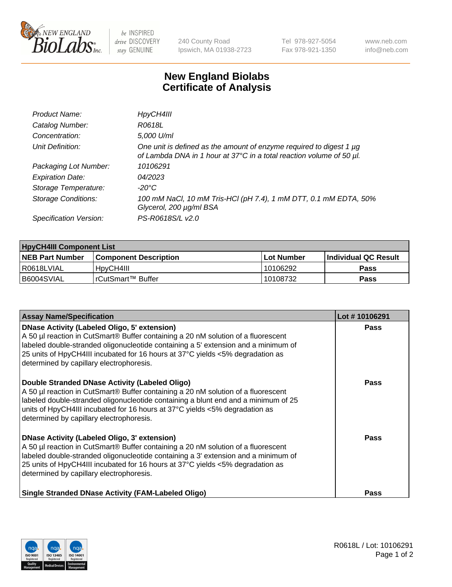

 $be$  INSPIRED drive DISCOVERY stay GENUINE

240 County Road Ipswich, MA 01938-2723 Tel 978-927-5054 Fax 978-921-1350 www.neb.com info@neb.com

## **New England Biolabs Certificate of Analysis**

| Product Name:              | HpyCH4III                                                                                                                                   |
|----------------------------|---------------------------------------------------------------------------------------------------------------------------------------------|
| Catalog Number:            | R0618L                                                                                                                                      |
| Concentration:             | 5,000 U/ml                                                                                                                                  |
| Unit Definition:           | One unit is defined as the amount of enzyme required to digest 1 µg<br>of Lambda DNA in 1 hour at 37°C in a total reaction volume of 50 µl. |
| Packaging Lot Number:      | 10106291                                                                                                                                    |
| <b>Expiration Date:</b>    | 04/2023                                                                                                                                     |
| Storage Temperature:       | $-20^{\circ}$ C                                                                                                                             |
| <b>Storage Conditions:</b> | 100 mM NaCl, 10 mM Tris-HCl (pH 7.4), 1 mM DTT, 0.1 mM EDTA, 50%<br>Glycerol, 200 µg/ml BSA                                                 |
| Specification Version:     | PS-R0618S/L v2.0                                                                                                                            |

| <b>HpyCH4III Component List</b> |                         |              |                             |  |  |
|---------------------------------|-------------------------|--------------|-----------------------------|--|--|
| <b>NEB Part Number</b>          | l Component Description | l Lot Number | <b>Individual QC Result</b> |  |  |
| I R0618LVIAL                    | 'HpyCH4III              | 10106292     | Pass                        |  |  |
| B6004SVIAL                      | I rCutSmart™ Buffer_    | 10108732     | Pass                        |  |  |

| <b>Assay Name/Specification</b>                                                                                                                                                                                                                                                                                                                                | Lot #10106291 |
|----------------------------------------------------------------------------------------------------------------------------------------------------------------------------------------------------------------------------------------------------------------------------------------------------------------------------------------------------------------|---------------|
| <b>DNase Activity (Labeled Oligo, 5' extension)</b><br>A 50 µl reaction in CutSmart® Buffer containing a 20 nM solution of a fluorescent<br>labeled double-stranded oligonucleotide containing a 5' extension and a minimum of<br>25 units of HpyCH4III incubated for 16 hours at 37°C yields <5% degradation as<br>determined by capillary electrophoresis.   | <b>Pass</b>   |
| Double Stranded DNase Activity (Labeled Oligo)<br>A 50 µl reaction in CutSmart® Buffer containing a 20 nM solution of a fluorescent<br>labeled double-stranded oligonucleotide containing a blunt end and a minimum of 25<br>units of HpyCH4III incubated for 16 hours at $37^{\circ}$ C yields <5% degradation as<br>determined by capillary electrophoresis. | <b>Pass</b>   |
| <b>DNase Activity (Labeled Oligo, 3' extension)</b><br>A 50 µl reaction in CutSmart® Buffer containing a 20 nM solution of a fluorescent<br>labeled double-stranded oligonucleotide containing a 3' extension and a minimum of<br>25 units of HpyCH4III incubated for 16 hours at 37°C yields <5% degradation as<br>determined by capillary electrophoresis.   | Pass          |
| <b>Single Stranded DNase Activity (FAM-Labeled Oligo)</b>                                                                                                                                                                                                                                                                                                      | Pass          |